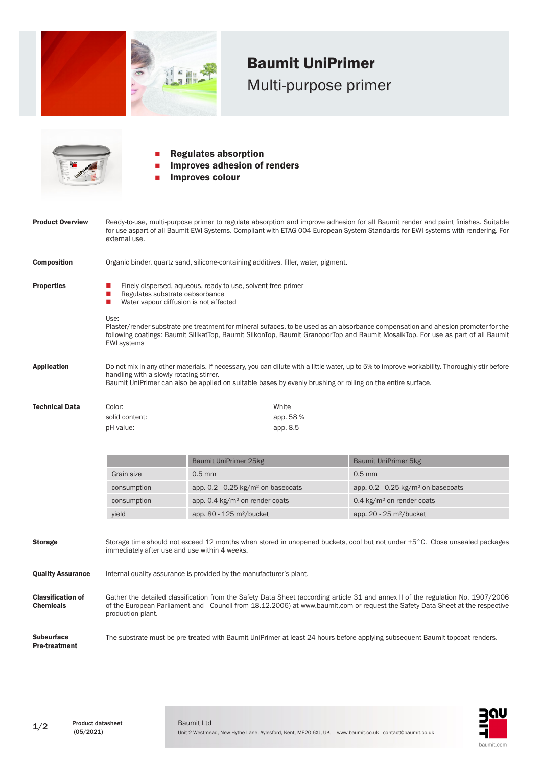

## Baumit UniPrimer Multi-purpose primer



- **Regulates absorption** Improves adhesion of renders
- Improves colour

| <b>Product Overview</b> | Ready-to-use, multi-purpose primer to regulate absorption and improve adhesion for all Baumit render and paint finishes. Suitable<br>for use aspart of all Baumit EWI Systems. Compliant with ETAG 004 European System Standards for EWI systems with rendering. For<br>external use.              |                                                                                                                                                                                                                                                             |  |  |
|-------------------------|----------------------------------------------------------------------------------------------------------------------------------------------------------------------------------------------------------------------------------------------------------------------------------------------------|-------------------------------------------------------------------------------------------------------------------------------------------------------------------------------------------------------------------------------------------------------------|--|--|
| <b>Composition</b>      | Organic binder, quartz sand, silicone-containing additives, filler, water, pigment.                                                                                                                                                                                                                |                                                                                                                                                                                                                                                             |  |  |
| <b>Properties</b>       | Finely dispersed, aqueous, ready-to-use, solvent-free primer<br>Regulates substrate oabsorbance<br>Water vapour diffusion is not affected                                                                                                                                                          |                                                                                                                                                                                                                                                             |  |  |
|                         | Use:<br>Plaster/render substrate pre-treatment for mineral sufaces, to be used as an absorbance compensation and ahesion promoter for the<br>following coatings: Baumit SilikatTop, Baumit SilkonTop, Baumit GranoporTop and Baumit MosaikTop. For use as part of all Baumit<br><b>EWI systems</b> |                                                                                                                                                                                                                                                             |  |  |
| <b>Application</b>      | handling with a slowly-rotating stirrer.                                                                                                                                                                                                                                                           | Do not mix in any other materials. If necessary, you can dilute with a little water, up to 5% to improve workability. Thoroughly stir before<br>Baumit UniPrimer can also be applied on suitable bases by evenly brushing or rolling on the entire surface. |  |  |
| <b>Technical Data</b>   | Color:                                                                                                                                                                                                                                                                                             | White                                                                                                                                                                                                                                                       |  |  |
|                         | solid content:                                                                                                                                                                                                                                                                                     | app. 58 %                                                                                                                                                                                                                                                   |  |  |

|             | Baumit UniPrimer 25kg                            | Baumit UniPrimer 5kg                             |
|-------------|--------------------------------------------------|--------------------------------------------------|
| Grain size  | $0.5$ mm                                         | $0.5$ mm                                         |
| consumption | app. $0.2 - 0.25$ kg/m <sup>2</sup> on basecoats | app. $0.2 - 0.25$ kg/m <sup>2</sup> on basecoats |
| consumption | app. $0.4 \text{ kg/m}^2$ on render coats        | 0.4 $kg/m2$ on render coats                      |
| yield       | app. $80 - 125$ m <sup>2</sup> /bucket           | app. $20 - 25$ m <sup>2</sup> /bucket            |

Storage Storage time should not exceed 12 months when stored in unopened buckets, cool but not under +5°C. Close unsealed packages immediately after use and use within 4 weeks.

**Quality Assurance** Internal quality assurance is provided by the manufacturer's plant.

pH-value: app. 8.5

Classification of Chemicals Gather the detailed classification from the Safety Data Sheet (according article 31 and annex II of the regulation No. 1907/2006 of the European Parliament and –Council from 18.12.2006) at www.baumit.com or request the Safety Data Sheet at the respective production plant.

Subsurface Pre-treatment The substrate must be pre-treated with Baumit UniPrimer at least 24 hours before applying subsequent Baumit topcoat renders.